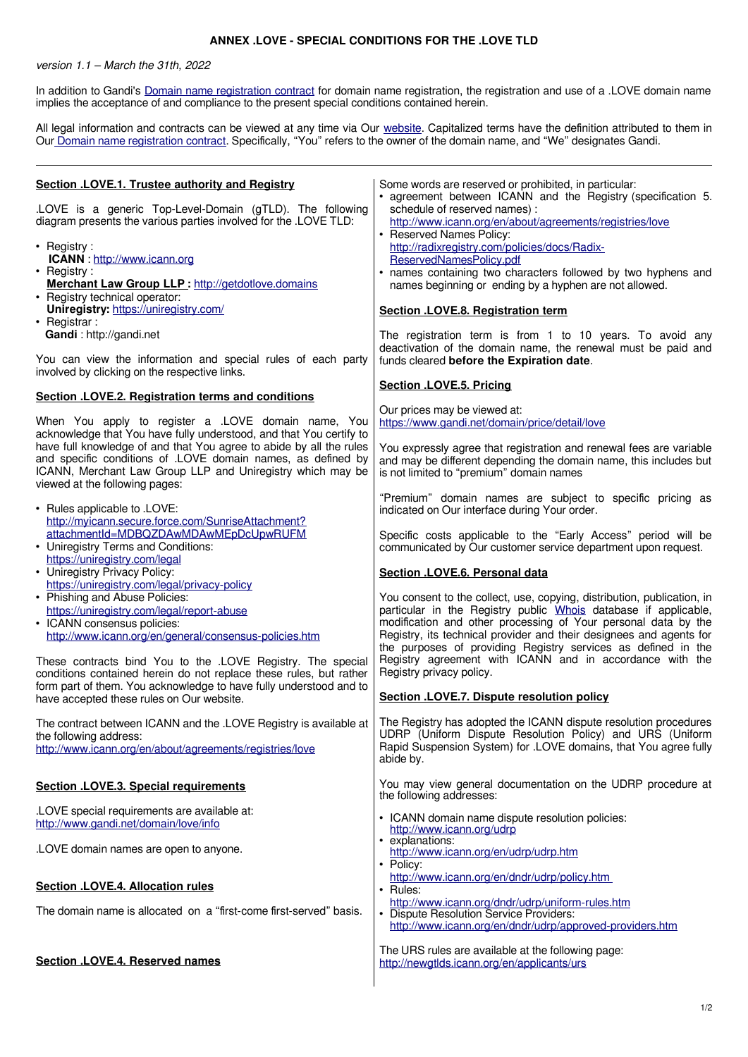## **ANNEX .LOVE - SPECIAL CONDITIONS FOR THE .LOVE TLD**

## version 1.1 – March the 31th, 2022

In addition to Gandi's [Domain name registration contract](https://www.gandi.net/en/contracts/terms-of-service) for domain name registration, the registration and use of a .LOVE domain name implies the acceptance of and compliance to the present special conditions contained herein.

All legal information and contracts can be viewed at any time via Our [website.](https://www.gandi.net/en) Capitalized terms have the definition attributed to them in Our [Domain name registration contract](https://www.gandi.net/en/contracts/terms-of-service). Specifically, "You" refers to the owner of the domain name, and "We" designates Gandi.

| Section .LOVE.1. Trustee authority and Registry<br>.LOVE is a generic Top-Level-Domain (gTLD). The following<br>diagram presents the various parties involved for the .LOVE TLD:<br>• Registry:<br>ICANN: http://www.icann.org<br>• Registry:<br>Merchant Law Group LLP: http://getdotlove.domains<br>• Registry technical operator:<br>Uniregistry: https://uniregistry.com/<br>• Registrar:                                                                                                                                | Some words are reserved or prohibited, in particular:<br>• agreement between ICANN and the Registry (specification 5.<br>schedule of reserved names) :<br>http://www.icann.org/en/about/agreements/registries/love<br>• Reserved Names Policy:<br>http://radixregistry.com/policies/docs/Radix-<br>ReservedNamesPolicy.pdf<br>• names containing two characters followed by two hyphens and<br>names beginning or ending by a hyphen are not allowed.<br>Section .LOVE.8. Registration term                                                                                                                                            |
|------------------------------------------------------------------------------------------------------------------------------------------------------------------------------------------------------------------------------------------------------------------------------------------------------------------------------------------------------------------------------------------------------------------------------------------------------------------------------------------------------------------------------|----------------------------------------------------------------------------------------------------------------------------------------------------------------------------------------------------------------------------------------------------------------------------------------------------------------------------------------------------------------------------------------------------------------------------------------------------------------------------------------------------------------------------------------------------------------------------------------------------------------------------------------|
| Gandi: http://gandi.net<br>You can view the information and special rules of each party<br>involved by clicking on the respective links.                                                                                                                                                                                                                                                                                                                                                                                     | The registration term is from 1 to 10 years. To avoid any<br>deactivation of the domain name, the renewal must be paid and<br>funds cleared before the Expiration date.<br>Section .LOVE.5. Pricing                                                                                                                                                                                                                                                                                                                                                                                                                                    |
| <b>Section .LOVE.2. Registration terms and conditions</b><br>When You apply to register a .LOVE domain name, You<br>acknowledge that You have fully understood, and that You certify to<br>have full knowledge of and that You agree to abide by all the rules<br>and specific conditions of .LOVE domain names, as defined by<br>ICANN, Merchant Law Group LLP and Uniregistry which may be<br>viewed at the following pages:                                                                                               | Our prices may be viewed at:<br>https://www.gandi.net/domain/price/detail/love<br>You expressly agree that registration and renewal fees are variable<br>and may be different depending the domain name, this includes but<br>is not limited to "premium" domain names<br>"Premium" domain names are subject to specific pricing as                                                                                                                                                                                                                                                                                                    |
| • Rules applicable to .LOVE:<br>http://myicann.secure.force.com/SunriseAttachment?<br>attachmentId=MDBQZDAwMDAwMEpDcUpwRUFM<br>• Uniregistry Terms and Conditions:<br>https://uniregistry.com/legal<br>• Uniregistry Privacy Policy:<br>https://uniregistry.com/legal/privacy-policy<br>• Phishing and Abuse Policies:<br>https://uniregistry.com/legal/report-abuse<br>• ICANN consensus policies:<br>http://www.icann.org/en/general/consensus-policies.htm<br>These contracts bind You to the .LOVE Registry. The special | indicated on Our interface during Your order.<br>Specific costs applicable to the "Early Access" period will be<br>communicated by Our customer service department upon request.<br>Section .LOVE.6. Personal data<br>You consent to the collect, use, copying, distribution, publication, in<br>particular in the Registry public Whois database if applicable,<br>modification and other processing of Your personal data by the<br>Registry, its technical provider and their designees and agents for<br>the purposes of providing Registry services as defined in the<br>Registry agreement with ICANN and in accordance with the |
| conditions contained herein do not replace these rules, but rather<br>form part of them. You acknowledge to have fully understood and to<br>have accepted these rules on Our website.                                                                                                                                                                                                                                                                                                                                        | Registry privacy policy.<br>Section .LOVE.7. Dispute resolution policy                                                                                                                                                                                                                                                                                                                                                                                                                                                                                                                                                                 |
| The contract between ICANN and the .LOVE Registry is available at<br>the following address:<br>http://www.icann.org/en/about/agreements/registries/love                                                                                                                                                                                                                                                                                                                                                                      | The Registry has adopted the ICANN dispute resolution procedures<br>UDRP (Uniform Dispute Resolution Policy) and URS (Uniform<br>Rapid Suspension System) for .LOVE domains, that You agree fully<br>abide by.                                                                                                                                                                                                                                                                                                                                                                                                                         |
| <b>Section .LOVE.3. Special requirements</b><br>.LOVE special requirements are available at:                                                                                                                                                                                                                                                                                                                                                                                                                                 | You may view general documentation on the UDRP procedure at<br>the following addresses:                                                                                                                                                                                                                                                                                                                                                                                                                                                                                                                                                |
| http://www.gandi.net/domain/love/info<br>.LOVE domain names are open to anyone.                                                                                                                                                                                                                                                                                                                                                                                                                                              | • ICANN domain name dispute resolution policies:<br>http://www.icann.org/udrp<br>• explanations:<br>http://www.icann.org/en/udrp/udrp.htm<br>• Policy:                                                                                                                                                                                                                                                                                                                                                                                                                                                                                 |
| <b>Section .LOVE.4. Allocation rules</b><br>The domain name is allocated on a "first-come first-served" basis.                                                                                                                                                                                                                                                                                                                                                                                                               | http://www.icann.org/en/dndr/udrp/policy.htm<br>• Rules:<br>http://www.icann.org/dndr/udrp/uniform-rules.htm<br>• Dispute Resolution Service Providers:<br>http://www.icann.org/en/dndr/udrp/approved-providers.htm                                                                                                                                                                                                                                                                                                                                                                                                                    |
| <b>Section .LOVE.4. Reserved names</b>                                                                                                                                                                                                                                                                                                                                                                                                                                                                                       | The URS rules are available at the following page:<br>http://newgtlds.icann.org/en/applicants/urs                                                                                                                                                                                                                                                                                                                                                                                                                                                                                                                                      |